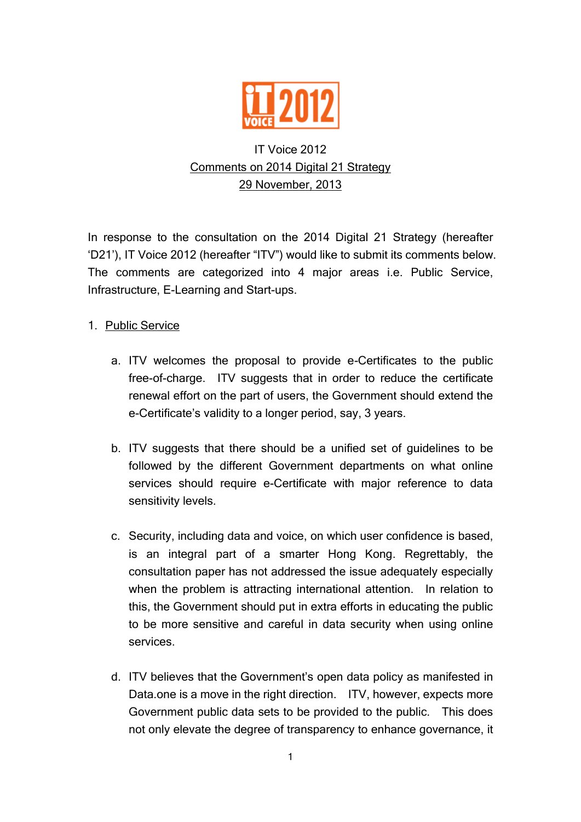

# IT Voice 2012 Comments on 2014 Digital 21 Strategy 29 November, 2013

In response to the consultation on the 2014 Digital 21 Strategy (hereafter 'D21'), IT Voice 2012 (hereafter "ITV") would like to submit its comments below. The comments are categorized into 4 major areas i.e. Public Service, Infrastructure, E-Learning and Start-ups.

## 1. Public Service

- a. ITV welcomes the proposal to provide e-Certificates to the public free-of-charge. ITV suggests that in order to reduce the certificate renewal effort on the part of users, the Government should extend the e-Certificate's validity to a longer period, say, 3 years.
- b. ITV suggests that there should be a unified set of guidelines to be followed by the different Government departments on what online services should require e-Certificate with major reference to data sensitivity levels.
- c. Security, including data and voice, on which user confidence is based, is an integral part of a smarter Hong Kong. Regrettably, the consultation paper has not addressed the issue adequately especially when the problem is attracting international attention. In relation to this, the Government should put in extra efforts in educating the public to be more sensitive and careful in data security when using online services.
- d. ITV believes that the Government's open data policy as manifested in Data.one is a move in the right direction. ITV, however, expects more Government public data sets to be provided to the public. This does not only elevate the degree of transparency to enhance governance, it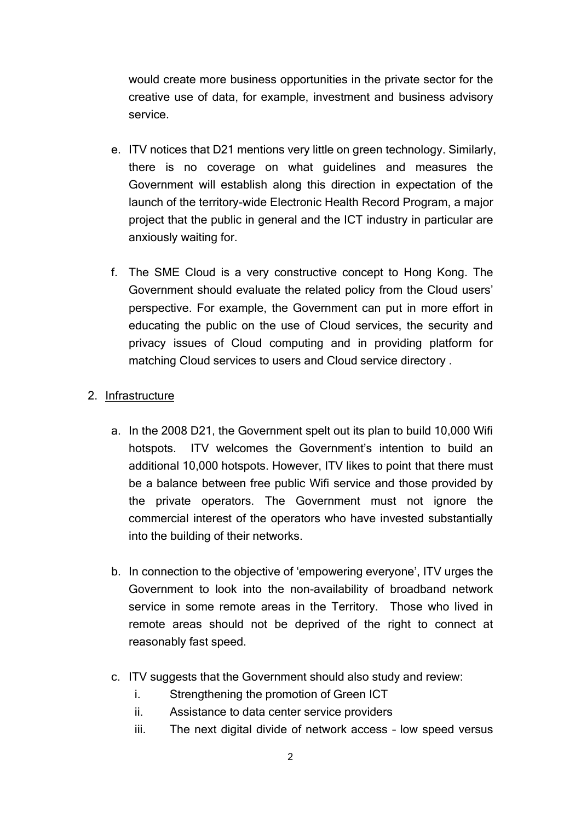would create more business opportunities in the private sector for the creative use of data, for example, investment and business advisory service.

- e. ITV notices that D21 mentions very little on green technology. Similarly, there is no coverage on what guidelines and measures the Government will establish along this direction in expectation of the launch of the territory-wide Electronic Health Record Program, a major project that the public in general and the ICT industry in particular are anxiously waiting for.
- f. The SME Cloud is a very constructive concept to Hong Kong. The Government should evaluate the related policy from the Cloud users' perspective. For example, the Government can put in more effort in educating the public on the use of Cloud services, the security and privacy issues of Cloud computing and in providing platform for matching Cloud services to users and Cloud service directory .

#### 2. Infrastructure

- a. In the 2008 D21, the Government spelt out its plan to build 10,000 Wifi hotspots. ITV welcomes the Government's intention to build an additional 10,000 hotspots. However, ITV likes to point that there must be a balance between free public Wifi service and those provided by the private operators. The Government must not ignore the commercial interest of the operators who have invested substantially into the building of their networks.
- b. In connection to the objective of 'empowering everyone', ITV urges the Government to look into the non-availability of broadband network service in some remote areas in the Territory. Those who lived in remote areas should not be deprived of the right to connect at reasonably fast speed.
- c. ITV suggests that the Government should also study and review:
	- i. Strengthening the promotion of Green ICT
	- ii. Assistance to data center service providers
	- iii. The next digital divide of network access low speed versus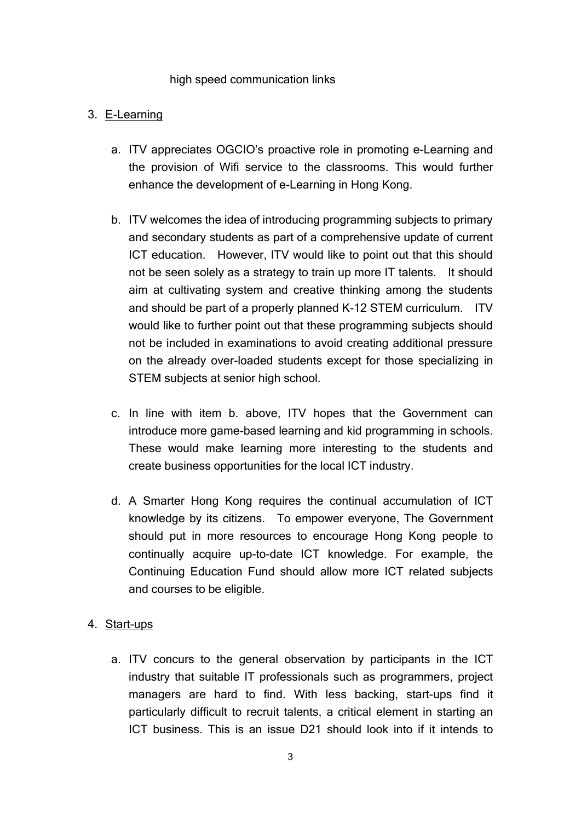#### high speed communication links

#### 3. E-Learning

- a. ITV appreciates OGCIO's proactive role in promoting e-Learning and the provision of Wifi service to the classrooms. This would further enhance the development of e-Learning in Hong Kong.
- b. ITV welcomes the idea of introducing programming subjects to primary and secondary students as part of a comprehensive update of current ICT education. However, ITV would like to point out that this should not be seen solely as a strategy to train up more IT talents. It should aim at cultivating system and creative thinking among the students and should be part of a properly planned K-12 STEM curriculum. ITV would like to further point out that these programming subjects should not be included in examinations to avoid creating additional pressure on the already over-loaded students except for those specializing in STEM subjects at senior high school.
- c. In line with item b. above, ITV hopes that the Government can introduce more game-based learning and kid programming in schools. These would make learning more interesting to the students and create business opportunities for the local ICT industry.
- d. A Smarter Hong Kong requires the continual accumulation of ICT knowledge by its citizens. To empower everyone, The Government should put in more resources to encourage Hong Kong people to continually acquire up-to-date ICT knowledge. For example, the Continuing Education Fund should allow more ICT related subjects and courses to be eligible.

### 4. Start-ups

a. ITV concurs to the general observation by participants in the ICT industry that suitable IT professionals such as programmers, project managers are hard to find. With less backing, start-ups find it particularly difficult to recruit talents, a critical element in starting an ICT business. This is an issue D21 should look into if it intends to